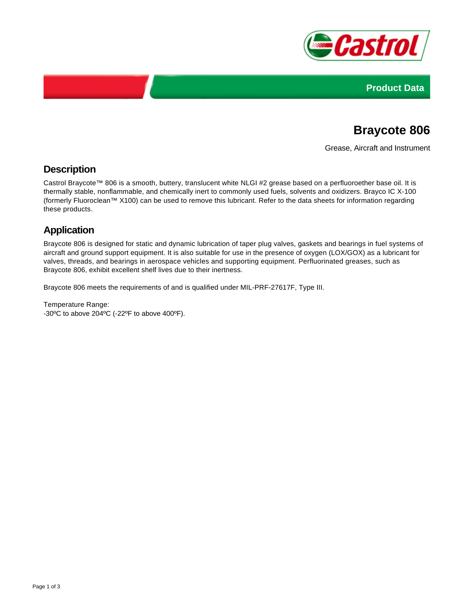



# **Braycote 806**

Grease, Aircraft and Instrument

### **Description**

Castrol Braycote™ 806 is a smooth, buttery, translucent white NLGI #2 grease based on a perfluoroether base oil. It is thermally stable, nonflammable, and chemically inert to commonly used fuels, solvents and oxidizers. Brayco IC X-100 (formerly Fluoroclean™ X100) can be used to remove this lubricant. Refer to the data sheets for information regarding these products.

## **Application**

Braycote 806 is designed for static and dynamic lubrication of taper plug valves, gaskets and bearings in fuel systems of aircraft and ground support equipment. It is also suitable for use in the presence of oxygen (LOX/GOX) as a lubricant for valves, threads, and bearings in aerospace vehicles and supporting equipment. Perfluorinated greases, such as Braycote 806, exhibit excellent shelf lives due to their inertness.

Braycote 806 meets the requirements of and is qualified under MIL-PRF-27617F, Type III.

Temperature Range: -30ºC to above 204ºC (-22ºF to above 400ºF).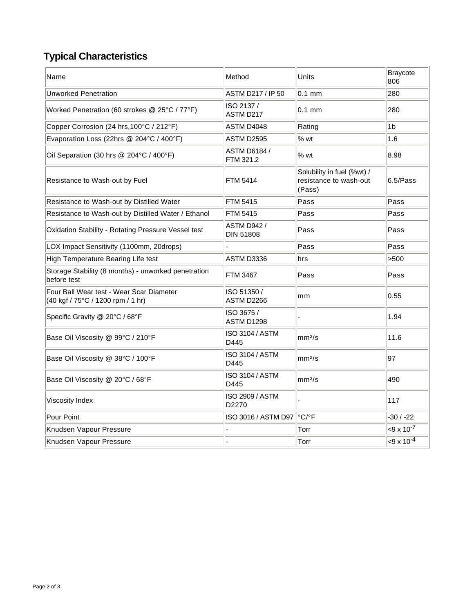## **Typical Characteristics**

| Name                                                                          | Method                                 | Units                                                          | Braycote<br>806          |
|-------------------------------------------------------------------------------|----------------------------------------|----------------------------------------------------------------|--------------------------|
| <b>Unworked Penetration</b>                                                   | ASTM D217 / IP 50                      | $0.1$ mm                                                       | 280                      |
| Worked Penetration (60 strokes @ 25°C / 77°F)                                 | ISO 2137 /<br>ASTM D217                | $0.1$ mm                                                       | 280                      |
| Copper Corrosion (24 hrs, 100°C / 212°F)                                      | ASTM D4048                             | Rating                                                         | 1 <sub>b</sub>           |
| Evaporation Loss (22hrs @ 204°C / 400°F)                                      | ASTM D2595                             | % wt                                                           | 1.6                      |
| Oil Separation (30 hrs @ 204°C / 400°F)                                       | <b>ASTM D6184 /</b><br>FTM 321.2       | % wt                                                           | 8.98                     |
| Resistance to Wash-out by Fuel                                                | <b>FTM 5414</b>                        | Solubility in fuel (%wt) /<br>resistance to wash-out<br>(Pass) | 6.5/Pass                 |
| Resistance to Wash-out by Distilled Water                                     | <b>FTM 5415</b>                        | Pass                                                           | $\sf{Pass}$              |
| Resistance to Wash-out by Distilled Water / Ethanol                           | <b>FTM 5415</b>                        | Pass                                                           | Pass                     |
| Oxidation Stability - Rotating Pressure Vessel test                           | <b>ASTM D942 /</b><br><b>DIN 51808</b> | Pass                                                           | Pass                     |
| LOX Impact Sensitivity (1100mm, 20drops)                                      |                                        | Pass                                                           | Pass                     |
| High Temperature Bearing Life test                                            | ASTM D3336                             | lhrs                                                           | >500                     |
| Storage Stability (8 months) - unworked penetration<br>before test            | <b>FTM 3467</b>                        | Pass                                                           | Pass                     |
| Four Ball Wear test - Wear Scar Diameter<br>(40 kgf / 75°C / 1200 rpm / 1 hr) | ISO 51350 /<br>ASTM D2266              | mm                                                             | 0.55                     |
| Specific Gravity @ 20°C / 68°F                                                | ISO 3675 /<br>ASTM D1298               |                                                                | 1.94                     |
| Base Oil Viscosity @ 99°C / 210°F                                             | <b>ISO 3104 / ASTM</b><br>D445         | mm <sup>2</sup> /s                                             | 11.6                     |
| Base Oil Viscosity @ 38°C / 100°F                                             | <b>ISO 3104 / ASTM</b><br>D445         | mm <sup>2</sup> /s                                             | 97                       |
| Base Oil Viscosity @ 20°C / 68°F                                              | <b>ISO 3104 / ASTM</b><br>D445         | mm <sup>2</sup> /s                                             | 490                      |
| Viscosity Index                                                               | ISO 2909 / ASTM<br>D2270               |                                                                | 117                      |
| Pour Point                                                                    | ISO 3016 / ASTM D97                    | $^{\circ}$ C/ $^{\circ}$ F                                     | $-30/ -22$               |
| Knudsen Vapour Pressure                                                       |                                        | Torr                                                           | $<$ 9 x 10 <sup>-7</sup> |
| Knudsen Vapour Pressure                                                       |                                        | Torr                                                           | $-9 \times 10^{-4}$      |